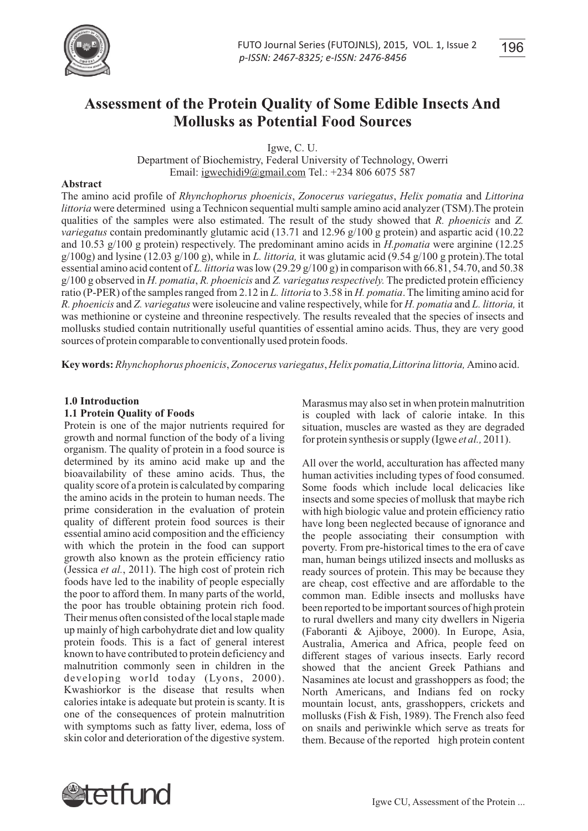

**Assessment of the Protein Quality of Some Edible Insects And Mollusks as Potential Food Sources**

Igwe, C. U.

Department of Biochemistry, Federal University of Technology, Owerri Email: igwechidi9@gmail.com Tel.: +234 806 6075 587

#### **Abstract**

The amino acid profile of *Rhynchophorus phoenicis*, *Zonocerus variegatus*, *Helix pomatia* and *Littorina littoria* were determined using a Technicon sequential multi sample amino acid analyzer (TSM).The protein qualities of the samples were also estimated. The result of the study showed that *R. phoenicis* and *Z. variegatus* contain predominantly glutamic acid (13.71 and 12.96 g/100 g protein) and aspartic acid (10.22 and 10.53 g/100 g protein) respectively. The predominant amino acids in *H.pomatia* were arginine (12.25 g/100g) and lysine (12.03 g/100 g), while in *L. littoria,* it was glutamic acid (9.54 g/100 g protein).The total essential amino acid content of *L. littoria* was low (29.29 g/100 g) in comparison with 66.81, 54.70, and 50.38 g/100 g observed in *H. pomatia*, *R. phoenicis* and *Z. variegatus respectively.* The predicted protein efficiency ratio (P-PER) of the samples ranged from 2.12 in *L. littoria* to 3.58 in *H. pomatia*. The limiting amino acid for *R. phoenicis* and *Z. variegatus* were isoleucine and valine respectively, while for *H. pomatia* and *L. littoria,* it was methionine or cysteine and threonine respectively. The results revealed that the species of insects and mollusks studied contain nutritionally useful quantities of essential amino acids. Thus, they are very good sources of protein comparable to conventionally used protein foods.

**Key words:** *Rhynchophorus phoenicis*, *Zonocerus variegatus*, *Helix pomatia,Littorina littoria,* Amino acid.

#### **1.0 Introduction**

#### **1.1 Protein Quality of Foods**

Protein is one of the major nutrients required for growth and normal function of the body of a living organism. The quality of protein in a food source is determined by its amino acid make up and the bioavailability of these amino acids. Thus, the quality score of a protein is calculated by comparing the amino acids in the protein to human needs. The prime consideration in the evaluation of protein quality of different protein food sources is their essential amino acid composition and the efficiency with which the protein in the food can support growth also known as the protein efficiency ratio (Jessica *et al.*, 2011). The high cost of protein rich foods have led to the inability of people especially the poor to afford them. In many parts of the world, the poor has trouble obtaining protein rich food. Their menus often consisted of the local staple made up mainly of high carbohydrate diet and low quality protein foods. This is a fact of general interest known to have contributed to protein deficiency and malnutrition commonly seen in children in the developing world today (Lyons, 2000). Kwashiorkor is the disease that results when calories intake is adequate but protein is scanty. It is one of the consequences of protein malnutrition with symptoms such as fatty liver, edema, loss of skin color and deterioration of the digestive system.

Marasmus may also set in when protein malnutrition is coupled with lack of calorie intake. In this situation, muscles are wasted as they are degraded for protein synthesis or supply (Igwe *et al.,* 2011).

All over the world, acculturation has affected many human activities including types of food consumed. Some foods which include local delicacies like insects and some species of mollusk that maybe rich with high biologic value and protein efficiency ratio have long been neglected because of ignorance and the people associating their consumption with poverty. From pre-historical times to the era of cave man, human beings utilized insects and mollusks as ready sources of protein. This may be because they are cheap, cost effective and are affordable to the common man. Edible insects and mollusks have been reported to be important sources of high protein to rural dwellers and many city dwellers in Nigeria (Faboranti & Ajiboye, 2000). In Europe, Asia, Australia, America and Africa, people feed on different stages of various insects. Early record showed that the ancient Greek Pathians and Nasamines ate locust and grasshoppers as food; the North Americans, and Indians fed on rocky mountain locust, ants, grasshoppers, crickets and mollusks (Fish & Fish, 1989). The French also feed on snails and periwinkle which serve as treats for them. Because of the reported high protein content

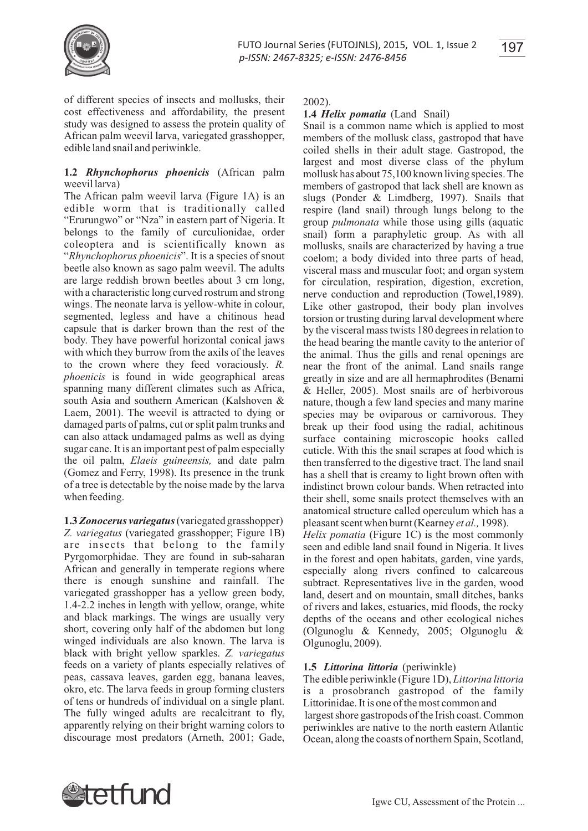

of different species of insects and mollusks, their cost effectiveness and affordability, the present study was designed to assess the protein quality of African palm weevil larva, variegated grasshopper, edible land snail and periwinkle.

## **1.2** *Rhynchophorus phoenicis* (African palm weevil larva)

The African palm weevil larva (Figure 1A) is an edible worm that is traditionally called "Erurungwo" or "Nza" in eastern part of Nigeria. It belongs to the family of curculionidae, order coleoptera and is scientifically known as "*Rhynchophorus phoenicis*". It is a species of snout beetle also known as sago palm weevil. The adults are large reddish brown beetles about 3 cm long, with a characteristic long curved rostrum and strong wings. The neonate larva is yellow-white in colour, segmented, legless and have a chitinous head capsule that is darker brown than the rest of the body. They have powerful horizontal conical jaws with which they burrow from the axils of the leaves to the crown where they feed voraciously. *R. phoenicis* is found in wide geographical areas spanning many different climates such as Africa, south Asia and southern American (Kalshoven & Laem, 2001). The weevil is attracted to dying or damaged parts of palms, cut or split palm trunks and can also attack undamaged palms as well as dying sugar cane. It is an important pest of palm especially the oil palm, *Elaeis guineensis,* and date palm (Gomez and Ferry, 1998). Its presence in the trunk of a tree is detectable by the noise made by the larva when feeding.

**1.3** *Zonocerus variegatus*(variegated grasshopper) *Z. variegatus* (variegated grasshopper; Figure 1B) are insects that belong to the family Pyrgomorphidae. They are found in sub-saharan African and generally in temperate regions where there is enough sunshine and rainfall. The variegated grasshopper has a yellow green body, 1.4-2.2 inches in length with yellow, orange, white and black markings. The wings are usually very short, covering only half of the abdomen but long winged individuals are also known. The larva is black with bright yellow sparkles. *Z. variegatus* feeds on a variety of plants especially relatives of peas, cassava leaves, garden egg, banana leaves, okro, etc. The larva feeds in group forming clusters of tens or hundreds of individual on a single plant. The fully winged adults are recalcitrant to fly, apparently relying on their bright warning colors to discourage most predators (Arneth, 2001; Gade,

2002).

# **1.4** *Helix pomatia* (Land Snail)

Snail is a common name which is applied to most members of the mollusk class, gastropod that have coiled shells in their adult stage. Gastropod, the largest and most diverse class of the phylum mollusk has about 75,100 known living species. The members of gastropod that lack shell are known as slugs (Ponder & Limdberg, 1997). Snails that respire (land snail) through lungs belong to the group *pulmonata* while those using gills (aquatic snail) form a paraphyletic group. As with all mollusks, snails are characterized by having a true coelom; a body divided into three parts of head, visceral mass and muscular foot; and organ system for circulation, respiration, digestion, excretion, nerve conduction and reproduction (Towel,1989). Like other gastropod, their body plan involves torsion or trusting during larval development where by the visceral mass twists 180 degrees in relation to the head bearing the mantle cavity to the anterior of the animal. Thus the gills and renal openings are near the front of the animal. Land snails range greatly in size and are all hermaphrodites (Benami & Heller, 2005). Most snails are of herbivorous nature, though a few land species and many marine species may be oviparous or carnivorous. They break up their food using the radial, achitinous surface containing microscopic hooks called cuticle. With this the snail scrapes at food which is then transferred to the digestive tract. The land snail has a shell that is creamy to light brown often with indistinct brown colour bands. When retracted into their shell, some snails protect themselves with an anatomical structure called operculum which has a pleasant scent when burnt (Kearney *et al.,* 1998). *Helix pomatia* (Figure 1C) is the most commonly seen and edible land snail found in Nigeria. It lives in the forest and open habitats, garden, vine yards, especially along rivers confined to calcareous subtract. Representatives live in the garden, wood land, desert and on mountain, small ditches, banks of rivers and lakes, estuaries, mid floods, the rocky depths of the oceans and other ecological niches (Olgunoglu & Kennedy, 2005; Olgunoglu & Olgunoglu, 2009).

# **1.5** *Littorina littoria* (periwinkle)

The edible periwinkle (Figure 1D), *Littorina littoria* is a prosobranch gastropod of the family Littorinidae. It is one of the most common and largest shore gastropods of the Irish coast. Common periwinkles are native to the north eastern Atlantic Ocean, along the coasts of northern Spain, Scotland,

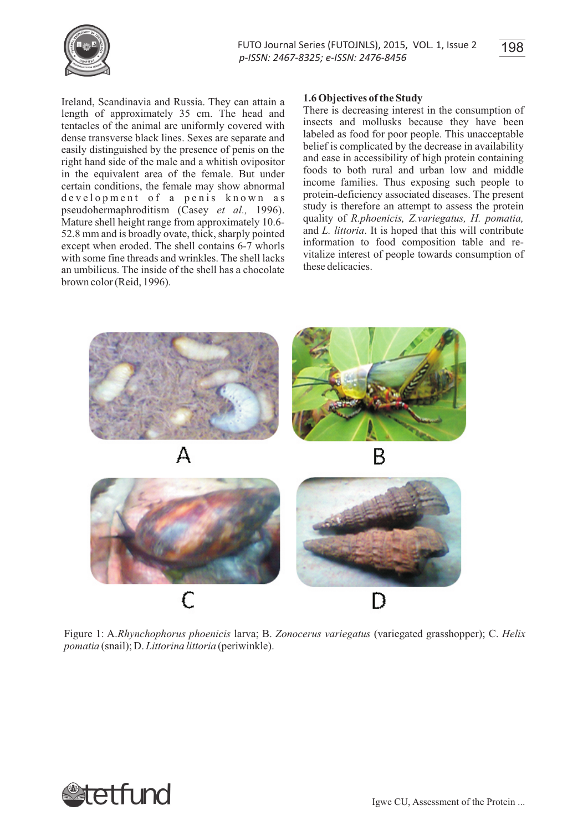

Ireland, Scandinavia and Russia. They can attain a length of approximately 35 cm. The head and tentacles of the animal are uniformly covered with dense transverse black lines. Sexes are separate and easily distinguished by the presence of penis on the right hand side of the male and a whitish ovipositor in the equivalent area of the female. But under certain conditions, the female may show abnormal development of a penis known as pseudohermaphroditism (Casey *et al.,* 1996). Mature shell height range from approximately 10.6- 52.8 mm and is broadly ovate, thick, sharply pointed except when eroded. The shell contains 6-7 whorls with some fine threads and wrinkles. The shell lacks an umbilicus. The inside of the shell has a chocolate brown color (Reid, 1996).

### **1.6 Objectives of the Study**

There is decreasing interest in the consumption of insects and mollusks because they have been labeled as food for poor people. This unacceptable belief is complicated by the decrease in availability and ease in accessibility of high protein containing foods to both rural and urban low and middle income families. Thus exposing such people to protein-deficiency associated diseases. The present study is therefore an attempt to assess the protein quality of *R.phoenicis, Z.variegatus, H. pomatia,* and *L. littoria*. It is hoped that this will contribute information to food composition table and revitalize interest of people towards consumption of these delicacies.



Figure 1: A.*Rhynchophorus phoenicis* larva; B. *Zonocerus variegatus* (variegated grasshopper); C. *Helix pomatia* (snail); D. *Littorina littoria* (periwinkle).

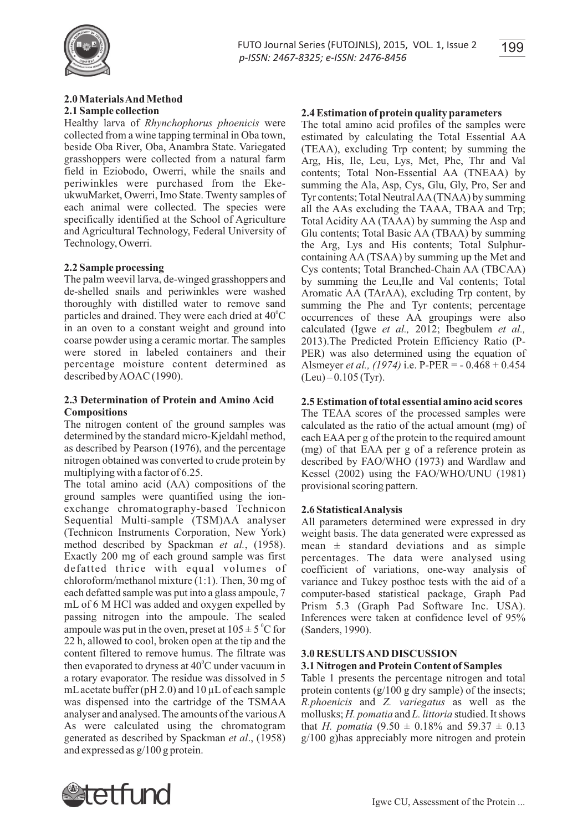

#### **2.0 Materials And Method 2.1 Sample collection**

Healthy larva of *Rhynchophorus phoenicis* were collected from a wine tapping terminal in Oba town, beside Oba River, Oba, Anambra State. Variegated grasshoppers were collected from a natural farm field in Eziobodo, Owerri, while the snails and periwinkles were purchased from the EkeukwuMarket, Owerri, Imo State. Twenty samples of each animal were collected. The species were specifically identified at the School of Agriculture and Agricultural Technology, Federal University of Technology, Owerri.

## **2.2 Sample processing**

The palm weevil larva, de-winged grasshoppers and de-shelled snails and periwinkles were washed thoroughly with distilled water to remove sand particles and drained. They were each dried at  $40^{\circ}$ C in an oven to a constant weight and ground into coarse powder using a ceramic mortar. The samples were stored in labeled containers and their percentage moisture content determined as described by AOAC (1990).

### **2.3 Determination of Protein and Amino Acid Compositions**

The nitrogen content of the ground samples was determined by the standard micro-Kjeldahl method, as described by Pearson (1976), and the percentage nitrogen obtained was converted to crude protein by multiplying with a factor of 6.25.

The total amino acid (AA) compositions of the ground samples were quantified using the ionexchange chromatography-based Technicon Sequential Multi-sample (TSM)AA analyser (Technicon Instruments Corporation, New York) method described by Spackman *et al.*, (1958). Exactly 200 mg of each ground sample was first defatted thrice with equal volumes of chloroform/methanol mixture (1:1). Then, 30 mg of each defatted sample was put into a glass ampoule, 7 mL of 6 M HCl was added and oxygen expelled by passing nitrogen into the ampoule. The sealed ampoule was put in the oven, preset at  $105 \pm 5$  °C for 22 h, allowed to cool, broken open at the tip and the content filtered to remove humus. The filtrate was then evaporated to dryness at 40°C under vacuum in a rotary evaporator. The residue was dissolved in 5 mL acetate buffer ( $pH 2.0$ ) and  $10 \mu L$  of each sample was dispensed into the cartridge of the TSMAA analyser and analysed. The amounts of the various A As were calculated using the chromatogram generated as described by Spackman *et al*., (1958) and expressed as g/100 g protein.

## **2.4 Estimation of protein quality parameters**

The total amino acid profiles of the samples were estimated by calculating the Total Essential AA (TEAA), excluding Trp content; by summing the Arg, His, Ile, Leu, Lys, Met, Phe, Thr and Val contents; Total Non-Essential AA (TNEAA) by summing the Ala, Asp, Cys, Glu, Gly, Pro, Ser and Tyr contents; Total Neutral AA(TNAA) by summing all the AAs excluding the TAAA, TBAA and Trp; Total Acidity AA (TAAA) by summing the Asp and Glu contents; Total Basic AA (TBAA) by summing the Arg, Lys and His contents; Total Sulphurcontaining AA (TSAA) by summing up the Met and Cys contents; Total Branched-Chain AA (TBCAA) by summing the Leu,Ile and Val contents; Total Aromatic AA (TArAA), excluding Trp content, by summing the Phe and Tyr contents; percentage occurrences of these AA groupings were also calculated (Igwe *et al.,* 2012; Ibegbulem *et al.,*  2013).The Predicted Protein Efficiency Ratio (P-PER) was also determined using the equation of Alsmeyer *et al., (1974)* i.e. P-PER = - 0.468 + 0.454  $(Leu) - 0.105$  (Tyr).

## **2.5 Estimation of total essential amino acid scores**

The TEAA scores of the processed samples were calculated as the ratio of the actual amount (mg) of each EAAper g of the protein to the required amount (mg) of that EAA per g of a reference protein as described by FAO/WHO (1973) and Wardlaw and Kessel (2002) using the FAO/WHO/UNU (1981) provisional scoring pattern.

### **2.6 Statistical Analysis**

All parameters determined were expressed in dry weight basis. The data generated were expressed as mean  $\pm$  standard deviations and as simple percentages. The data were analysed using coefficient of variations, one-way analysis of variance and Tukey posthoc tests with the aid of a computer-based statistical package, Graph Pad Prism 5.3 (Graph Pad Software Inc. USA). Inferences were taken at confidence level of 95% (Sanders, 1990).

### **3.0 RESULTS AND DISCUSSION 3.1 Nitrogen and Protein Content of Samples**

Table 1 presents the percentage nitrogen and total protein contents (g/100 g dry sample) of the insects; *R.phoenicis* and *Z. variegatus* as well as the mollusks; *H. pomatia* and *L. littoria* studied. It shows that *H. pomatia*  $(9.50 \pm 0.18\%$  and  $59.37 \pm 0.13$ g/100 g)has appreciably more nitrogen and protein

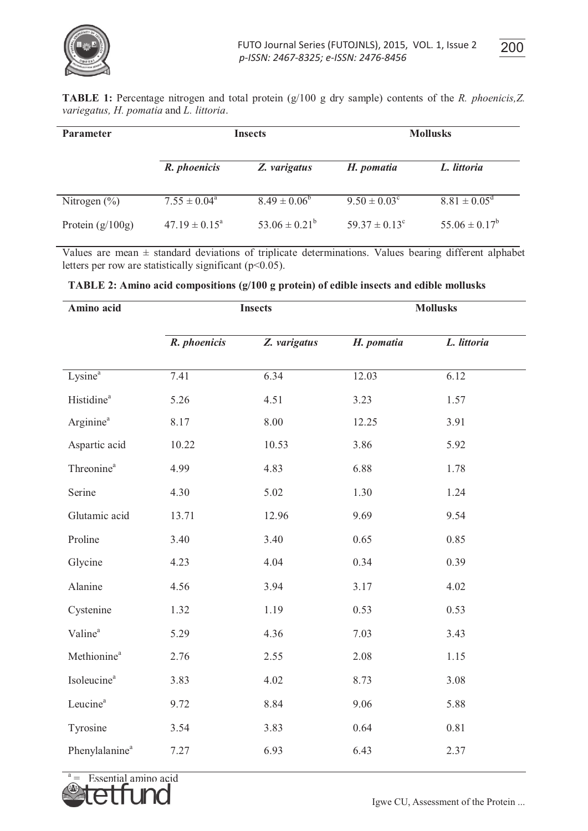

| <b>TABLE 1:</b> Percentage nitrogen and total protein $(g/100 g$ dry sample) contents of the R. phoenicis, Z. |  |  |
|---------------------------------------------------------------------------------------------------------------|--|--|
| variegatus, H. pomatia and L. littoria.                                                                       |  |  |

| <b>Parameter</b>   |                          | <b>Insects</b>     |                          | <b>Mollusks</b>         |  |  |
|--------------------|--------------------------|--------------------|--------------------------|-------------------------|--|--|
|                    | R. phoenicis             | Z. varigatus       | H. pomatia               | L. littoria             |  |  |
| Nitrogen $(\%)$    | $7.55 \pm 0.04^{\circ}$  | $8.49 \pm 0.06^b$  | $9.50 \pm 0.03^{\circ}$  | $8.81 \pm 0.05^{\rm d}$ |  |  |
| Protein $(g/100g)$ | $47.19 \pm 0.15^{\circ}$ | $53.06 \pm 0.21^b$ | $59.37 \pm 0.13^{\circ}$ | $55.06 \pm 0.17^b$      |  |  |

Values are mean ± standard deviations of triplicate determinations. Values bearing different alphabet letters per row are statistically significant ( $p<0.05$ ).

| Amino acid                 | <b>Insects</b> |              | <b>Mollusks</b> |             |  |
|----------------------------|----------------|--------------|-----------------|-------------|--|
|                            | R. phoenicis   | Z. varigatus | H. pomatia      | L. littoria |  |
| Lysine <sup>a</sup>        | 7.41           | 6.34         | 12.03           | 6.12        |  |
| Histidine <sup>a</sup>     | 5.26           | 4.51         | 3.23            | 1.57        |  |
| Arginine <sup>a</sup>      | 8.17           | $8.00\,$     | 12.25           | 3.91        |  |
| Aspartic acid              | 10.22          | 10.53        | 3.86            | 5.92        |  |
| Threonine <sup>a</sup>     | 4.99           | 4.83         | 6.88            | 1.78        |  |
| Serine                     | 4.30           | 5.02         | 1.30            | 1.24        |  |
| Glutamic acid              | 13.71          | 12.96        | 9.69            | 9.54        |  |
| Proline                    | 3.40           | 3.40         | 0.65            | 0.85        |  |
| Glycine                    | 4.23           | 4.04         | 0.34            | 0.39        |  |
| Alanine                    | 4.56           | 3.94         | 3.17            | 4.02        |  |
| Cystenine                  | 1.32           | 1.19         | 0.53            | 0.53        |  |
| Valine <sup>a</sup>        | 5.29           | 4.36         | 7.03            | 3.43        |  |
| Methionine <sup>a</sup>    | 2.76           | 2.55         | 2.08            | 1.15        |  |
| Isoleucine <sup>a</sup>    | 3.83           | 4.02         | 8.73            | 3.08        |  |
| Leucine <sup>a</sup>       | 9.72           | 8.84         | 9.06            | 5.88        |  |
| Tyrosine                   | 3.54           | 3.83         | 0.64            | 0.81        |  |
| Phenylalanine <sup>a</sup> | 7.27           | 6.93         | 6.43            | 2.37        |  |

 $a =$  Essential amino acid

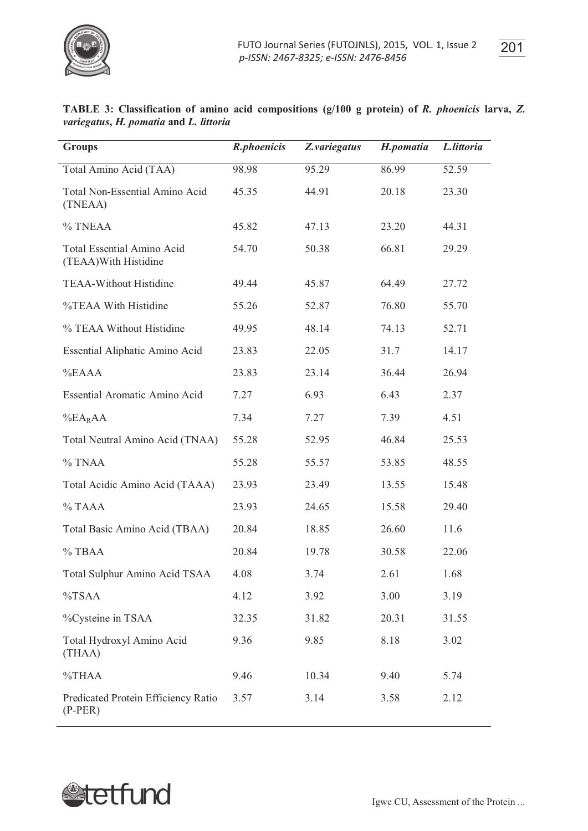

| TABLE 3: Classification of amino acid compositions (g/100 g protein) of R. phoenicis larva, Z. |  |  |  |  |
|------------------------------------------------------------------------------------------------|--|--|--|--|
| variegatus, H. pomatia and L. littoria                                                         |  |  |  |  |

| <b>Groups</b>                                              | R.phoenicis | Z.variegatus | H.pomatia | L.littoria |
|------------------------------------------------------------|-------------|--------------|-----------|------------|
| Total Amino Acid (TAA)                                     | 98.98       | 95.29        | 86.99     | 52.59      |
| Total Non-Essential Amino Acid<br>(TNEAA)                  | 45.35       | 44.91        | 20.18     | 23.30      |
| % TNEAA                                                    | 45.82       | 47.13        | 23.20     | 44.31      |
| <b>Total Essential Amino Acid</b><br>(TEAA) With Histidine | 54.70       | 50.38        | 66.81     | 29.29      |
| <b>TEAA-Without Histidine</b>                              | 49.44       | 45.87        | 64.49     | 27.72      |
| %TEAA With Histidine                                       | 55.26       | 52.87        | 76.80     | 55.70      |
| % TEAA Without Histidine                                   | 49.95       | 48.14        | 74.13     | 52.71      |
| Essential Aliphatic Amino Acid                             | 23.83       | 22.05        | 31.7      | 14.17      |
| %EAAA                                                      | 23.83       | 23.14        | 36.44     | 26.94      |
| Essential Aromatic Amino Acid                              | 7.27        | 6.93         | 6.43      | 2.37       |
| $\%E A_R A$                                                | 7.34        | 7.27         | 7.39      | 4.51       |
| Total Neutral Amino Acid (TNAA)                            | 55.28       | 52.95        | 46.84     | 25.53      |
| $%$ TNAA                                                   | 55.28       | 55.57        | 53.85     | 48.55      |
| Total Acidic Amino Acid (TAAA)                             | 23.93       | 23.49        | 13.55     | 15.48      |
| $%$ TAAA                                                   | 23.93       | 24.65        | 15.58     | 29.40      |
| Total Basic Amino Acid (TBAA)                              | 20.84       | 18.85        | 26.60     | 11.6       |
| $%$ TBAA                                                   | 20.84       | 19.78        | 30.58     | 22.06      |
| Total Sulphur Amino Acid TSAA                              | 4.08        | 3.74         | 2.61      | 1.68       |
| %TSAA                                                      | 4.12        | 3.92         | 3.00      | 3.19       |
| %Cysteine in TSAA                                          | 32.35       | 31.82        | 20.31     | 31.55      |
| Total Hydroxyl Amino Acid<br>(THAA)                        | 9.36        | 9.85         | 8.18      | 3.02       |
| $\%THAA$                                                   | 9.46        | 10.34        | 9.40      | 5.74       |
| Predicated Protein Efficiency Ratio<br>$(P-PER)$           | 3.57        | 3.14         | 3.58      | 2.12       |

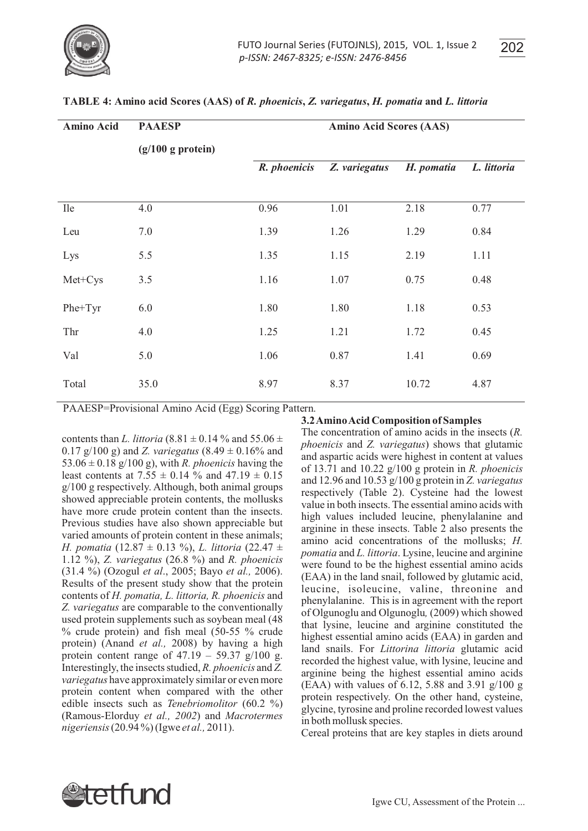

| . . | - 1 |
|-----|-----|

| <b>Amino Acid</b> | <b>PAAESP</b>        | <b>Amino Acid Scores (AAS)</b> |               |            |             |
|-------------------|----------------------|--------------------------------|---------------|------------|-------------|
|                   | $(g/100 g)$ protein) |                                |               |            |             |
|                   |                      | R. phoenicis                   | Z. variegatus | H. pomatia | L. littoria |
|                   |                      |                                |               |            |             |
| <b>Ile</b>        | 4.0                  | 0.96                           | 1.01          | 2.18       | 0.77        |
| Leu               | 7.0                  | 1.39                           | 1.26          | 1.29       | 0.84        |
| Lys               | 5.5                  | 1.35                           | 1.15          | 2.19       | 1.11        |
| Met+Cys           | 3.5                  | 1.16                           | 1.07          | 0.75       | 0.48        |
| Phe+Tyr           | 6.0                  | 1.80                           | 1.80          | 1.18       | 0.53        |
| Thr               | 4.0                  | 1.25                           | 1.21          | 1.72       | 0.45        |
| Val               | 5.0                  | 1.06                           | 0.87          | 1.41       | 0.69        |
| Total             | 35.0                 | 8.97                           | 8.37          | 10.72      | 4.87        |

### **TABLE 4: Amino acid Scores (AAS) of** *R. phoenicis***,** *Z. variegatus***,** *H. pomatia* **and** *L. littoria*

PAAESP=Provisional Amino Acid (Egg) Scoring Pattern.

**3.2 Amino Acid Composition of Samples**

contents than *L. littoria* (8.81  $\pm$  0.14 % and 55.06  $\pm$ 0.17 g/100 g) and *Z. variegatus* (8.49 ± 0.16% and 53.06  $\pm$  0.18 g/100 g), with *R. phoenicis* having the least contents at 7.55  $\pm$  0.14 % and 47.19  $\pm$  0.15 g/100 g respectively. Although, both animal groups showed appreciable protein contents, the mollusks have more crude protein content than the insects. Previous studies have also shown appreciable but varied amounts of protein content in these animals; *H. pomatia* (12.87 ± 0.13 %), *L. littoria* (22.47 ± 1.12 %), *Z. variegatus* (26.8 %) and *R. phoenicis*  (31.4 %) (Ozogul *et al*., 2005; Bayo *et al.,* 2006). Results of the present study show that the protein contents of *H. pomatia, L. littoria, R. phoenicis* and *Z. variegatus* are comparable to the conventionally used protein supplements such as soybean meal (48 % crude protein) and fish meal (50-55 % crude protein) (Anand *et al.,* 2008) by having a high protein content range of  $47.19 - 59.37$  g/100 g. Interestingly, the insects studied, *R. phoenicis* and *Z. variegatus* have approximately similar or even more protein content when compared with the other edible insects such as *Tenebriomolitor* (60.2 %) (Ramous-Elorduy *et al., 2002*) and *Macrotermes nigeriensis*(20.94 %) (Igwe *et al.,* 2011).

The concentration of amino acids in the insects (*R. phoenicis* and *Z. variegatus*) shows that glutamic and aspartic acids were highest in content at values of 13.71 and 10.22 g/100 g protein in *R. phoenicis*  and 12.96 and 10.53 g/100 g protein in *Z. variegatus*  respectively (Table 2). Cysteine had the lowest value in both insects. The essential amino acids with high values included leucine, phenylalanine and arginine in these insects. Table 2 also presents the amino acid concentrations of the mollusks; *H. pomatia* and *L. littoria*. Lysine, leucine and arginine were found to be the highest essential amino acids (EAA) in the land snail, followed by glutamic acid, leucine, isoleucine, valine, threonine and phenylalanine. This is in agreement with the report of Olgunoglu and Olgunoglu*,* (2009) which showed that lysine, leucine and arginine constituted the highest essential amino acids (EAA) in garden and land snails. For *Littorina littoria* glutamic acid recorded the highest value, with lysine, leucine and arginine being the highest essential amino acids (EAA) with values of 6.12, 5.88 and 3.91 g/100 g protein respectively. On the other hand, cysteine, glycine, tyrosine and proline recorded lowest values in both mollusk species.

Cereal proteins that are key staples in diets around

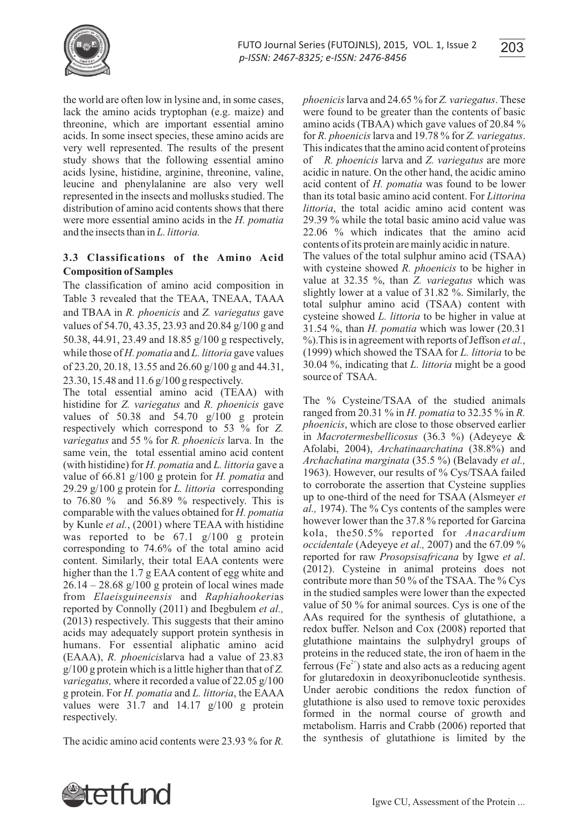

the world are often low in lysine and, in some cases, lack the amino acids tryptophan (e.g. maize) and threonine, which are important essential amino acids. In some insect species, these amino acids are very well represented. The results of the present study shows that the following essential amino acids lysine, histidine, arginine, threonine, valine, leucine and phenylalanine are also very well represented in the insects and mollusks studied. The distribution of amino acid contents shows that there were more essential amino acids in the *H. pomatia*  and the insects than in *L. littoria.*

## **3.3 Classifications of the Amino Acid Composition of Samples**

The classification of amino acid composition in Table 3 revealed that the TEAA, TNEAA, TAAA and TBAA in *R. phoenicis* and *Z. variegatus* gave values of 54.70, 43.35, 23.93 and 20.84 g/100 g and 50.38, 44.91, 23.49 and 18.85 g/100 g respectively, while those of *H. pomatia* and *L. littoria* gave values of 23.20, 20.18, 13.55 and 26.60 g/100 g and 44.31, 23.30, 15.48 and 11.6 g/100 g respectively.

The total essential amino acid (TEAA) with histidine for *Z. variegatus* and *R. phoenicis* gave values of 50.38 and 54.70 g/100 g protein respectively which correspond to 53 % for *Z. variegatus* and 55 % for *R. phoenicis* larva. In the same vein, the total essential amino acid content (with histidine) for *H. pomatia* and *L. littoria* gave a value of 66.81 g/100 g protein for *H. pomatia* and 29.29 g/100 g protein for *L. littoria* corresponding to 76.80  $\%$  and 56.89  $\%$  respectively. This is comparable with the values obtained for *H. pomatia* by Kunle *et al.*, (2001) where TEAA with histidine was reported to be 67.1 g/100 g protein corresponding to 74.6% of the total amino acid content. Similarly, their total EAA contents were higher than the 1.7 g EAA content of egg white and  $26.14 - 28.68$  g/100 g protein of local wines made from *Elaeisguineensis* and *Raphiahookeri*as reported by Connolly (2011) and Ibegbulem *et al.,* (2013) respectively. This suggests that their amino acids may adequately support protein synthesis in humans. For essential aliphatic amino acid (EAAA), *R. phoenicis*larva had a value of 23.83 g/100 g protein which is a little higher than that of *Z. variegatus,* where it recorded a value of 22.05 g/100 g protein. For *H. pomatia* and *L. littoria*, the EAAA values were 31.7 and 14.17 g/100 g protein respectively.

The acidic amino acid contents were 23.93 % for *R.* 

*phoenicis*larva and 24.65 % for *Z. variegatus*. These were found to be greater than the contents of basic amino acids (TBAA) which gave values of 20.84 % for *R. phoenicis*larva and 19.78 % for *Z. variegatus*. This indicates that the amino acid content of proteins of *R. phoenicis* larva and *Z. variegatus* are more acidic in nature. On the other hand, the acidic amino acid content of *H. pomatia* was found to be lower than its total basic amino acid content. For *Littorina littoria*, the total acidic amino acid content was 29.39 % while the total basic amino acid value was 22.06 % which indicates that the amino acid contents of its protein are mainly acidic in nature.

The values of the total sulphur amino acid (TSAA) with cysteine showed *R. phoenicis* to be higher in value at 32.35 %, than *Z. variegatus* which was slightly lower at a value of 31.82 %. Similarly, the total sulphur amino acid (TSAA) content with cysteine showed *L. littoria* to be higher in value at 31.54 %, than *H. pomatia* which was lower (20.31 %).This is in agreement with reports of Jeffson *et al.*, (1999) which showed the TSAA for *L. littoria* to be 30.04 %, indicating that *L. littoria* might be a good source of TSAA.

The % Cysteine/TSAA of the studied animals ranged from 20.31 % in *H. pomatia* to 32.35 % in *R. phoenicis*, which are close to those observed earlier in *Macrotermesbellicosus* (36.3 %) (Adeyeye & Afolabi, 2004), *Archatinaarchatina* (38.8%) and *Archachatina marginata* (35.5 %) (Belavady *et al.,*  1963). However, our results of % Cys/TSAA failed to corroborate the assertion that Cysteine supplies up to one-third of the need for TSAA (Alsmeyer *et al.,* 1974). The % Cys contents of the samples were however lower than the 37.8 % reported for Garcina kola, the50.5% reported for *Anacardium occidentale* (Adeyeye *et al.,* 2007) and the 67.09 % reported for raw *Prosopsisafricana* by Igwe *et al*. (2012). Cysteine in animal proteins does not contribute more than 50 % of the TSAA. The % Cys in the studied samples were lower than the expected value of 50 % for animal sources. Cys is one of the AAs required for the synthesis of glutathione, a redox buffer. Nelson and Cox (2008) reported that glutathione maintains the sulphydryl groups of proteins in the reduced state, the iron of haem in the ferrous (Fe<sup> $2+$ </sup>) state and also acts as a reducing agent for glutaredoxin in deoxyribonucleotide synthesis. Under aerobic conditions the redox function of glutathione is also used to remove toxic peroxides formed in the normal course of growth and metabolism. Harris and Crabb (2006) reported that the synthesis of glutathione is limited by the

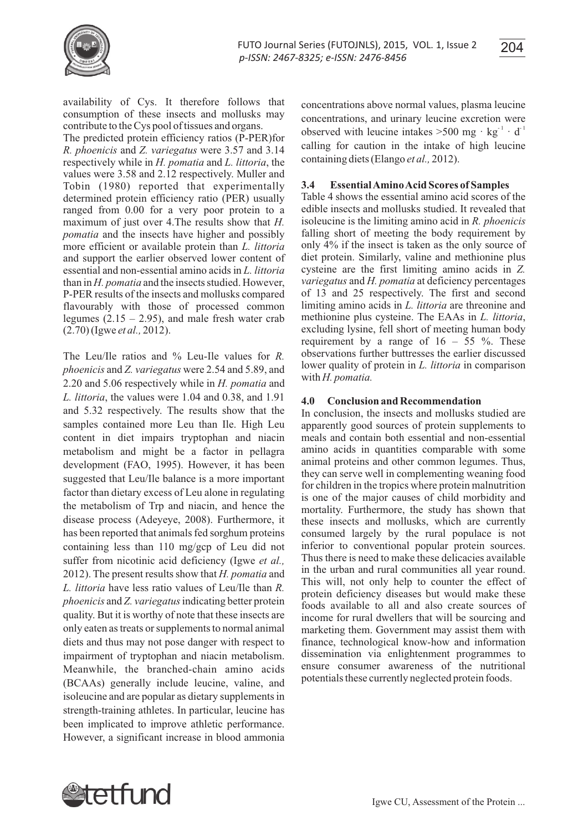



availability of Cys. It therefore follows that consumption of these insects and mollusks may contribute to the Cys pool of tissues and organs.

The predicted protein efficiency ratios (P-PER)for *R. phoenicis* and *Z. variegatus* were 3.57 and 3.14 respectively while in *H. pomatia* and *L. littoria*, the values were 3.58 and 2.12 respectively. Muller and Tobin (1980) reported that experimentally determined protein efficiency ratio (PER) usually ranged from 0.00 for a very poor protein to a maximum of just over 4.The results show that *H. pomatia* and the insects have higher and possibly more efficient or available protein than *L. littoria*  and support the earlier observed lower content of essential and non-essential amino acids in *L. littoria* than in *H. pomatia* and the insects studied. However, P-PER results of the insects and mollusks compared flavourably with those of processed common legumes  $(2.15 - 2.95)$ , and male fresh water crab (2.70) (Igwe *et al.,* 2012).

The Leu/Ile ratios and % Leu-Ile values for *R. phoenicis* and *Z. variegatus* were 2.54 and 5.89, and 2.20 and 5.06 respectively while in *H. pomatia* and *L. littoria*, the values were 1.04 and 0.38, and 1.91 and 5.32 respectively. The results show that the samples contained more Leu than Ile. High Leu content in diet impairs tryptophan and niacin metabolism and might be a factor in pellagra development (FAO, 1995). However, it has been suggested that Leu/Ile balance is a more important factor than dietary excess of Leu alone in regulating the metabolism of Trp and niacin, and hence the disease process (Adeyeye, 2008). Furthermore, it has been reported that animals fed sorghum proteins containing less than 110 mg/gcp of Leu did not suffer from nicotinic acid deficiency (Igwe *et al.,* 2012). The present results show that *H. pomatia* and *L. littoria* have less ratio values of Leu/Ile than *R. phoenicis* and *Z. variegatus*indicating better protein quality. But it is worthy of note that these insects are only eaten as treats or supplements to normal animal diets and thus may not pose danger with respect to impairment of tryptophan and niacin metabolism. Meanwhile, the branched-chain amino acids (BCAAs) generally include leucine, valine, and isoleucine and are popular as dietary supplements in strength-training athletes. In particular, leucine has been implicated to improve athletic performance. However, a significant increase in blood ammonia concentrations above normal values, plasma leucine concentrations, and urinary leucine excretion were observed with leucine intakes  $>500$  mg · kg<sup>-1</sup> · d<sup>-1</sup> calling for caution in the intake of high leucine containing diets (Elango *et al.,* 2012).

### **3.4 Essential Amino Acid Scores of Samples**

Table 4 shows the essential amino acid scores of the edible insects and mollusks studied. It revealed that isoleucine is the limiting amino acid in *R. phoenicis* falling short of meeting the body requirement by only 4% if the insect is taken as the only source of diet protein. Similarly, valine and methionine plus cysteine are the first limiting amino acids in *Z. variegatus* and *H. pomatia* at deficiency percentages of 13 and 25 respectively. The first and second limiting amino acids in *L. littoria* are threonine and methionine plus cysteine. The EAAs in *L. littoria*, excluding lysine, fell short of meeting human body requirement by a range of  $16 - 55$  %. These observations further buttresses the earlier discussed lower quality of protein in *L. littoria* in comparison with *H. pomatia.*

#### **4.0 Conclusion and Recommendation**

In conclusion, the insects and mollusks studied are apparently good sources of protein supplements to meals and contain both essential and non-essential amino acids in quantities comparable with some animal proteins and other common legumes. Thus, they can serve well in complementing weaning food for children in the tropics where protein malnutrition is one of the major causes of child morbidity and mortality. Furthermore, the study has shown that these insects and mollusks, which are currently consumed largely by the rural populace is not inferior to conventional popular protein sources. Thus there is need to make these delicacies available in the urban and rural communities all year round. This will, not only help to counter the effect of protein deficiency diseases but would make these foods available to all and also create sources of income for rural dwellers that will be sourcing and marketing them. Government may assist them with finance, technological know-how and information dissemination via enlightenment programmes to ensure consumer awareness of the nutritional potentials these currently neglected protein foods.

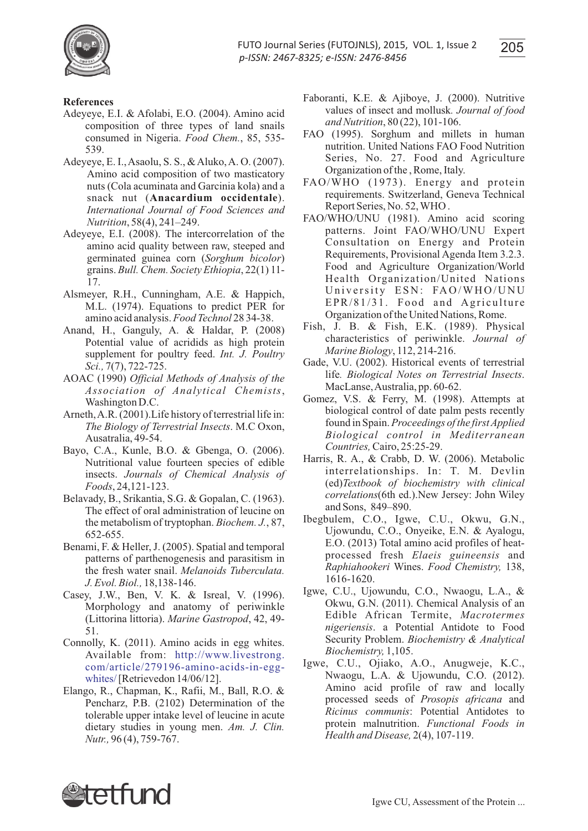

# **References**

- Adeyeye, E.I. & Afolabi, E.O. (2004). Amino acid composition of three types of land snails consumed in Nigeria. *Food Chem.*, 85, 535- 539.
- Adeyeye, E. I., Asaolu, S. S., & Aluko, A. O. (2007). Amino acid composition of two masticatory nuts (Cola acuminata and Garcinia kola) and a snack nut (**Anacardium occidentale**). *International Journal of Food Sciences and Nutrition*, 58(4), 241–249.
- Adeyeye, E.I. (2008). The intercorrelation of the amino acid quality between raw, steeped and germinated guinea corn (*Sorghum bicolor*) grains. *Bull. Chem. Society Ethiopia*, 22(1) 11- 17.
- Alsmeyer, R.H., Cunningham, A.E. & Happich, M.L. (1974). Equations to predict PER for amino acid analysis. *Food Technol* 28 34-38.
- Anand, H., Ganguly, A. & Haldar, P. (2008) Potential value of acridids as high protein supplement for poultry feed. *Int. J. Poultry Sci.,* 7(7), 722-725.
- AOAC (1990) *Official Methods of Analysis of the Association of Analytical Chemists*, Washington D.C.
- Arneth, A.R. (2001).Life history of terrestrial life in: *The Biology of Terrestrial Insects*. M.C Oxon, Ausatralia, 49-54.
- Bayo, C.A., Kunle, B.O. & Gbenga, O. (2006). Nutritional value fourteen species of edible insects. *Journals of Chemical Analysis of Foods*, 24,121-123.
- Belavady, B., Srikantia, S.G. & Gopalan, C. (1963). The effect of oral administration of leucine on the metabolism of tryptophan. *Biochem. J.*, 87, 652-655.
- Benami, F. & Heller, J. (2005). Spatial and temporal patterns of parthenogenesis and parasitism in the fresh water snail. *Melanoids Tuberculata. J. Evol. Biol.,* 18,138-146.
- Casey, J.W., Ben, V. K. & Isreal, V. (1996). Morphology and anatomy of periwinkle (Littorina littoria). *Marine Gastropod*, 42, 49- 51.
- Connolly, K. (2011). Amino acids in egg whites. Available from: http://www.livestrong. whites/[Retrievedon 14/06/12]. com/article/279196-amino-acids-in-egg-
- Elango, R., Chapman, K., Rafii, M., Ball, R.O. & Pencharz, P.B. (2102) Determination of the tolerable upper intake level of leucine in acute dietary studies in young men. *Am. J. Clin. Nutr.,* 96 (4), 759-767.
- Faboranti, K.E. & Ajiboye, J. (2000). Nutritive values of insect and mollusk*. Journal of food and Nutrition*, 80 (22), 101-106.
- FAO (1995). Sorghum and millets in human nutrition. United Nations FAO Food Nutrition Series, No. 27. Food and Agriculture Organization of the , Rome, Italy.
- FAO/WHO (1973). Energy and protein requirements. Switzerland, Geneva Technical Report Series, No. 52, WHO .
- FAO/WHO/UNU (1981). Amino acid scoring patterns. Joint FAO/WHO/UNU Expert Consultation on Energy and Protein Requirements, Provisional Agenda Item 3.2.3. Food and Agriculture Organization/World Health Organization/United Nations University ESN: FAO/WHO/UNU EPR/81/31. Food and Agriculture Organization of the United Nations, Rome.
- Fish, J. B. & Fish, E.K. (1989). Physical characteristics of periwinkle. *Journal of Marine Biology*, 112, 214-216.
- Gade, V.U. (2002). Historical events of terrestrial life*. Biological Notes on Terrestrial Insects*. MacLanse, Australia, pp. 60-62.
- Gomez, V.S. & Ferry, M. (1998). Attempts at biological control of date palm pests recently found in Spain. *Proceedings of the first Applied Biological control in Mediterranean Countries,*Cairo, 25:25-29.
- Harris, R. A., & Crabb, D. W. (2006). Metabolic interrelationships. In: T. M. Devlin (ed)*Textbook of biochemistry with clinical correlations*(6th ed.).New Jersey: John Wiley and Sons, 849–890.
- Ibegbulem, C.O., Igwe, C.U., Okwu, G.N., Ujowundu, C.O., Onyeike, E.N. & Ayalogu, E.O. (2013) Total amino acid profiles of heatprocessed fresh *Elaeis guineensis* and *Raphiahookeri* Wines. *Food Chemistry,* 138, 1616-1620.
- Igwe, C.U., Ujowundu, C.O., Nwaogu, L.A., & Okwu, G.N. (2011). Chemical Analysis of an Edible African Termite, *Macrotermes nigeriensis*. a Potential Antidote to Food Security Problem. *Biochemistry & Analytical Biochemistry,* 1,105.
- Igwe, C.U., Ojiako, A.O., Anugweje, K.C., Nwaogu, L.A. & Ujowundu, C.O. (2012). Amino acid profile of raw and locally processed seeds of *Prosopis africana* and *Ricinus communis*: Potential Antidotes to protein malnutrition. *Functional Foods in Health and Disease,* 2(4), 107-119.